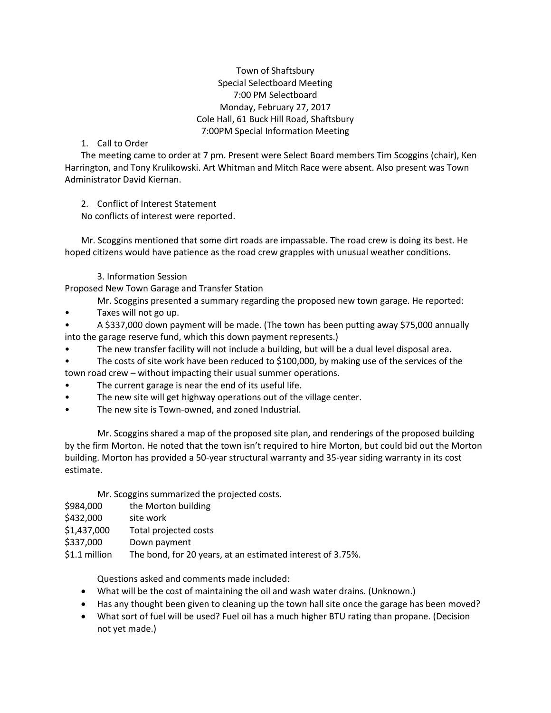Town of Shaftsbury Special Selectboard Meeting 7:00 PM Selectboard Monday, February 27, 2017 Cole Hall, 61 Buck Hill Road, Shaftsbury 7:00PM Special Information Meeting

## 1. Call to Order

The meeting came to order at 7 pm. Present were Select Board members Tim Scoggins (chair), Ken Harrington, and Tony Krulikowski. Art Whitman and Mitch Race were absent. Also present was Town Administrator David Kiernan.

2. Conflict of Interest Statement

No conflicts of interest were reported.

Mr. Scoggins mentioned that some dirt roads are impassable. The road crew is doing its best. He hoped citizens would have patience as the road crew grapples with unusual weather conditions.

3. Information Session

Proposed New Town Garage and Transfer Station

Mr. Scoggins presented a summary regarding the proposed new town garage. He reported:

- Taxes will not go up.
- A \$337,000 down payment will be made. (The town has been putting away \$75,000 annually into the garage reserve fund, which this down payment represents.)
- The new transfer facility will not include a building, but will be a dual level disposal area.
- The costs of site work have been reduced to \$100,000, by making use of the services of the town road crew – without impacting their usual summer operations.
- The current garage is near the end of its useful life.
- The new site will get highway operations out of the village center.
- The new site is Town-owned, and zoned Industrial.

Mr. Scoggins shared a map of the proposed site plan, and renderings of the proposed building by the firm Morton. He noted that the town isn't required to hire Morton, but could bid out the Morton building. Morton has provided a 50-year structural warranty and 35-year siding warranty in its cost estimate.

Mr. Scoggins summarized the projected costs.

| \$984,000 | the Morton building |
|-----------|---------------------|
|           |                     |

- \$432,000 site work
- \$1,437,000 Total projected costs
- \$337,000 Down payment

\$1.1 million The bond, for 20 years, at an estimated interest of 3.75%.

Questions asked and comments made included:

- What will be the cost of maintaining the oil and wash water drains. (Unknown.)
- Has any thought been given to cleaning up the town hall site once the garage has been moved?
- What sort of fuel will be used? Fuel oil has a much higher BTU rating than propane. (Decision not yet made.)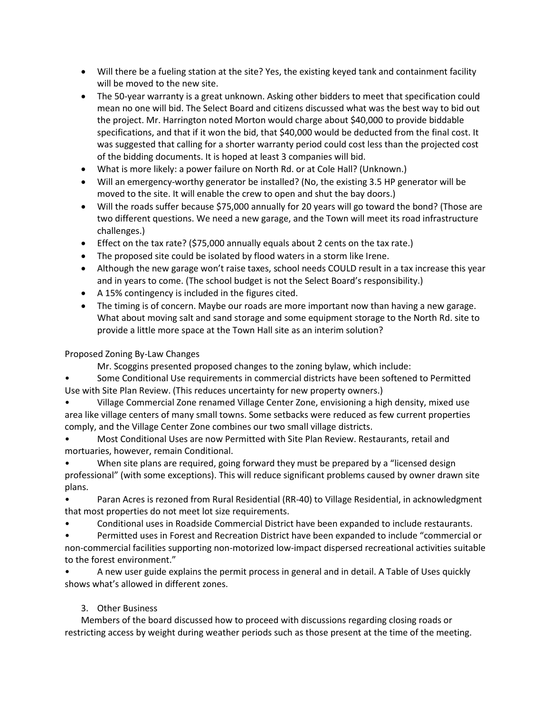- Will there be a fueling station at the site? Yes, the existing keyed tank and containment facility will be moved to the new site.
- The 50-year warranty is a great unknown. Asking other bidders to meet that specification could mean no one will bid. The Select Board and citizens discussed what was the best way to bid out the project. Mr. Harrington noted Morton would charge about \$40,000 to provide biddable specifications, and that if it won the bid, that \$40,000 would be deducted from the final cost. It was suggested that calling for a shorter warranty period could cost less than the projected cost of the bidding documents. It is hoped at least 3 companies will bid.
- What is more likely: a power failure on North Rd. or at Cole Hall? (Unknown.)
- Will an emergency-worthy generator be installed? (No, the existing 3.5 HP generator will be moved to the site. It will enable the crew to open and shut the bay doors.)
- Will the roads suffer because \$75,000 annually for 20 years will go toward the bond? (Those are two different questions. We need a new garage, and the Town will meet its road infrastructure challenges.)
- Effect on the tax rate? (\$75,000 annually equals about 2 cents on the tax rate.)
- The proposed site could be isolated by flood waters in a storm like Irene.
- Although the new garage won't raise taxes, school needs COULD result in a tax increase this year and in years to come. (The school budget is not the Select Board's responsibility.)
- A 15% contingency is included in the figures cited.
- The timing is of concern. Maybe our roads are more important now than having a new garage. What about moving salt and sand storage and some equipment storage to the North Rd. site to provide a little more space at the Town Hall site as an interim solution?

## Proposed Zoning By-Law Changes

Mr. Scoggins presented proposed changes to the zoning bylaw, which include:

• Some Conditional Use requirements in commercial districts have been softened to Permitted Use with Site Plan Review. (This reduces uncertainty for new property owners.)

• Village Commercial Zone renamed Village Center Zone, envisioning a high density, mixed use area like village centers of many small towns. Some setbacks were reduced as few current properties comply, and the Village Center Zone combines our two small village districts.

• Most Conditional Uses are now Permitted with Site Plan Review. Restaurants, retail and mortuaries, however, remain Conditional.

When site plans are required, going forward they must be prepared by a "licensed design professional" (with some exceptions). This will reduce significant problems caused by owner drawn site plans.

• Paran Acres is rezoned from Rural Residential (RR-40) to Village Residential, in acknowledgment that most properties do not meet lot size requirements.

• Conditional uses in Roadside Commercial District have been expanded to include restaurants.

• Permitted uses in Forest and Recreation District have been expanded to include "commercial or non-commercial facilities supporting non-motorized low-impact dispersed recreational activities suitable to the forest environment."

• A new user guide explains the permit process in general and in detail. A Table of Uses quickly shows what's allowed in different zones.

## 3. Other Business

Members of the board discussed how to proceed with discussions regarding closing roads or restricting access by weight during weather periods such as those present at the time of the meeting.